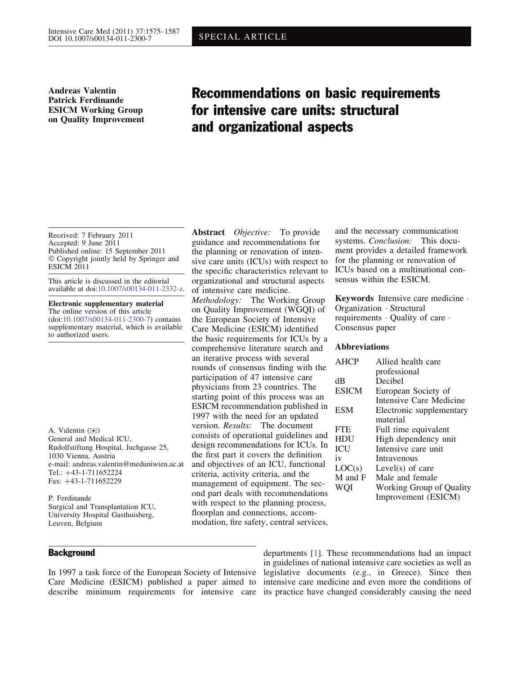Andreas Valentin Patrick Ferdinande ESICM Working Group on Quality Improvement

# Recommendations on basic requirements for intensive care units: structural and organizational aspects

Received: 7 February 2011 Accepted: 9 June 2011 Published online: 15 September 2011 - Copyright jointly held by Springer and ESICM 2011

This article is discussed in the editorial available at doi[:10.1007/s00134-011-2332-z](http://dx.doi.org/10.1007/s00134-011-2332-z).

Electronic supplementary material The online version of this article (doi:[10.1007/s00134-011-2300-7](http://dx.doi.org/10.1007/s00134-011-2300-7)) contains supplementary material, which is available to authorized users.

A. Valentin  $(\boxtimes)$ General and Medical ICU, Rudolfstiftung Hospital, Juchgasse 25, 1030 Vienna, Austria e-mail: andreas.valentin@meduniwien.ac.at Tel.: +43-1-711652224  $Fax: +43-1-711652229$ 

P. Ferdinande Surgical and Transplantation ICU, University Hospital Gasthuisberg, Leuven, Belgium

guidance and recommendations for the planning or renovation of intensive care units (ICUs) with respect to the specific characteristics relevant to organizational and structural aspects of intensive care medicine. Methodology: The Working Group on Quality Improvement (WGQI) of the European Society of Intensive Care Medicine (ESICM) identified the basic requirements for ICUs by a comprehensive literature search and an iterative process with several rounds of consensus finding with the participation of 47 intensive care physicians from 23 countries. The starting point of this process was an ESICM recommendation published in 1997 with the need for an updated version. Results: The document consists of operational guidelines and design recommendations for ICUs. In the first part it covers the definition and objectives of an ICU, functional criteria, activity criteria, and the management of equipment. The second part deals with recommendations with respect to the planning process, floorplan and connections, accommodation, fire safety, central services,

Abstract Objective: To provide

and the necessary communication systems. Conclusion: This document provides a detailed framework for the planning or renovation of ICUs based on a multinational consensus within the ESICM.

Keywords Intensive care medicine -Organization - Structural requirements · Quality of care · Consensus paper

## Abbreviations

| AHCP         | Allied health care       |  |
|--------------|--------------------------|--|
|              | professional             |  |
| dВ           | Decibel                  |  |
| <b>ESICM</b> | European Society of      |  |
|              | Intensive Care Medicine  |  |
| <b>ESM</b>   | Electronic supplementary |  |
|              | material                 |  |
| <b>FTE</b>   | Full time equivalent     |  |
| <b>HDU</b>   | High dependency unit     |  |
| <b>ICU</b>   | Intensive care unit      |  |
| iv           | <b>Intravenous</b>       |  |
| LOC(s)       | Level(s) of care         |  |
| M and F      | Male and female          |  |
| <b>WOI</b>   | Working Group of Quality |  |
|              | Improvement (ESICM)      |  |
|              |                          |  |

# **Background**

In 1997 a task force of the European Society of Intensive Care Medicine (ESICM) published a paper aimed to

describe minimum requirements for intensive care its practice have changed considerably causing the need departments [[1](#page-10-0)]. These recommendations had an impact in guidelines of national intensive care societies as well as legislative documents (e.g., in Greece). Since then intensive care medicine and even more the conditions of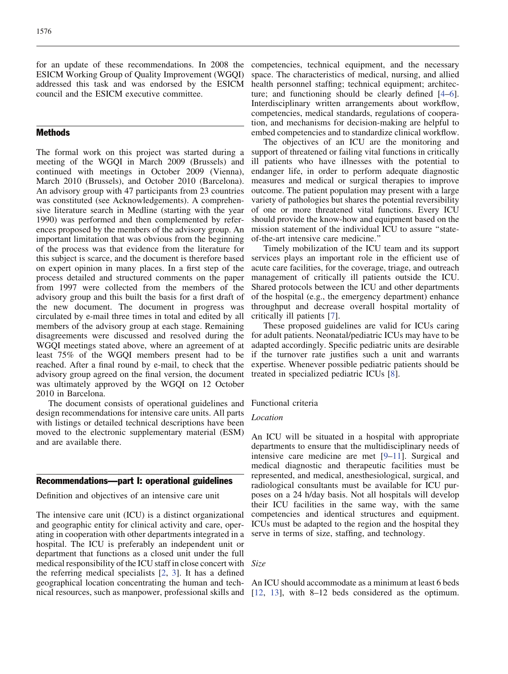for an update of these recommendations. In 2008 the ESICM Working Group of Quality Improvement (WGQI) addressed this task and was endorsed by the ESICM council and the ESICM executive committee.

## Methods

The formal work on this project was started during a meeting of the WGQI in March 2009 (Brussels) and continued with meetings in October 2009 (Vienna), March 2010 (Brussels), and October 2010 (Barcelona). An advisory group with 47 participants from 23 countries was constituted (see Acknowledgements). A comprehensive literature search in Medline (starting with the year 1990) was performed and then complemented by references proposed by the members of the advisory group. An important limitation that was obvious from the beginning of the process was that evidence from the literature for this subject is scarce, and the document is therefore based on expert opinion in many places. In a first step of the process detailed and structured comments on the paper from 1997 were collected from the members of the advisory group and this built the basis for a first draft of the new document. The document in progress was circulated by e-mail three times in total and edited by all members of the advisory group at each stage. Remaining disagreements were discussed and resolved during the WGQI meetings stated above, where an agreement of at least 75% of the WGQI members present had to be reached. After a final round by e-mail, to check that the advisory group agreed on the final version, the document was ultimately approved by the WGQI on 12 October 2010 in Barcelona.

The document consists of operational guidelines and design recommendations for intensive care units. All parts with listings or detailed technical descriptions have been moved to the electronic supplementary material (ESM) and are available there.

# Recommendations—part I: operational guidelines

Definition and objectives of an intensive care unit

The intensive care unit (ICU) is a distinct organizational and geographic entity for clinical activity and care, operating in cooperation with other departments integrated in a hospital. The ICU is preferably an independent unit or department that functions as a closed unit under the full medical responsibility of the ICU staff in close concert with the referring medical specialists  $[2, 3]$  $[2, 3]$  $[2, 3]$ . It has a defined geographical location concentrating the human and technical resources, such as manpower, professional skills and

competencies, technical equipment, and the necessary space. The characteristics of medical, nursing, and allied health personnel staffing; technical equipment; architecture; and functioning should be clearly defined [[4–6](#page-10-0)]. Interdisciplinary written arrangements about workflow, competencies, medical standards, regulations of cooperation, and mechanisms for decision-making are helpful to embed competencies and to standardize clinical workflow.

The objectives of an ICU are the monitoring and support of threatened or failing vital functions in critically ill patients who have illnesses with the potential to endanger life, in order to perform adequate diagnostic measures and medical or surgical therapies to improve outcome. The patient population may present with a large variety of pathologies but shares the potential reversibility of one or more threatened vital functions. Every ICU should provide the know-how and equipment based on the mission statement of the individual ICU to assure ''stateof-the-art intensive care medicine.''

Timely mobilization of the ICU team and its support services plays an important role in the efficient use of acute care facilities, for the coverage, triage, and outreach management of critically ill patients outside the ICU. Shared protocols between the ICU and other departments of the hospital (e.g., the emergency department) enhance throughput and decrease overall hospital mortality of critically ill patients [[7\]](#page-10-0).

These proposed guidelines are valid for ICUs caring for adult patients. Neonatal/pediatric ICUs may have to be adapted accordingly. Specific pediatric units are desirable if the turnover rate justifies such a unit and warrants expertise. Whenever possible pediatric patients should be treated in specialized pediatric ICUs [[8](#page-10-0)].

Functional criteria

## Location

An ICU will be situated in a hospital with appropriate departments to ensure that the multidisciplinary needs of intensive care medicine are met [[9–11\]](#page-10-0). Surgical and medical diagnostic and therapeutic facilities must be represented, and medical, anesthesiological, surgical, and radiological consultants must be available for ICU purposes on a 24 h/day basis. Not all hospitals will develop their ICU facilities in the same way, with the same competencies and identical structures and equipment. ICUs must be adapted to the region and the hospital they serve in terms of size, staffing, and technology.

Size

An ICU should accommodate as a minimum at least 6 beds [\[12,](#page-10-0) [13](#page-10-0)], with 8–12 beds considered as the optimum.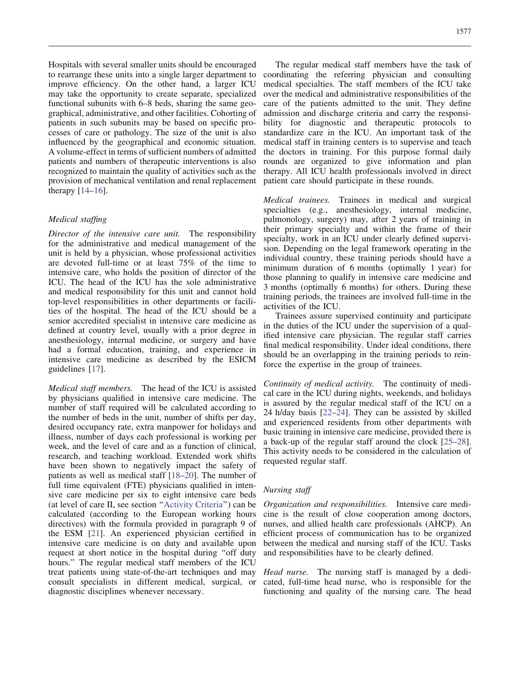Hospitals with several smaller units should be encouraged to rearrange these units into a single larger department to improve efficiency. On the other hand, a larger ICU may take the opportunity to create separate, specialized functional subunits with 6–8 beds, sharing the same geographical, administrative, and other facilities. Cohorting of patients in such subunits may be based on specific processes of care or pathology. The size of the unit is also influenced by the geographical and economic situation. A volume-effect in terms of sufficient numbers of admitted patients and numbers of therapeutic interventions is also recognized to maintain the quality of activities such as the provision of mechanical ventilation and renal replacement therapy  $[14–16]$ .

## Medical staffing

Director of the intensive care unit. The responsibility for the administrative and medical management of the unit is held by a physician, whose professional activities are devoted full-time or at least 75% of the time to intensive care, who holds the position of director of the ICU. The head of the ICU has the sole administrative and medical responsibility for this unit and cannot hold top-level responsibilities in other departments or facilities of the hospital. The head of the ICU should be a senior accredited specialist in intensive care medicine as defined at country level, usually with a prior degree in anesthesiology, internal medicine, or surgery and have had a formal education, training, and experience in intensive care medicine as described by the ESICM guidelines [\[17\]](#page-10-0).

Medical staff members. The head of the ICU is assisted by physicians qualified in intensive care medicine. The number of staff required will be calculated according to the number of beds in the unit, number of shifts per day, desired occupancy rate, extra manpower for holidays and illness, number of days each professional is working per week, and the level of care and as a function of clinical, research, and teaching workload. Extended work shifts have been shown to negatively impact the safety of patients as well as medical staff [[18](#page-10-0)–[20\]](#page-10-0). The number of full time equivalent (FTE) physicians qualified in intensive care medicine per six to eight intensive care beds (at level of care II, see section '['Activity Criteria](#page-3-0)'') can be calculated (according to the European working hours directives) with the formula provided in paragraph 9 of the ESM [[21](#page-10-0)]. An experienced physician certified in intensive care medicine is on duty and available upon request at short notice in the hospital during ''off duty hours.'' The regular medical staff members of the ICU treat patients using state-of-the-art techniques and may consult specialists in different medical, surgical, or diagnostic disciplines whenever necessary.

The regular medical staff members have the task of coordinating the referring physician and consulting medical specialties. The staff members of the ICU take over the medical and administrative responsibilities of the care of the patients admitted to the unit. They define admission and discharge criteria and carry the responsibility for diagnostic and therapeutic protocols to standardize care in the ICU. An important task of the medical staff in training centers is to supervise and teach the doctors in training. For this purpose formal daily rounds are organized to give information and plan therapy. All ICU health professionals involved in direct patient care should participate in these rounds.

Medical trainees. Trainees in medical and surgical specialties (e.g., anesthesiology, internal medicine, pulmonology, surgery) may, after 2 years of training in their primary specialty and within the frame of their specialty, work in an ICU under clearly defined supervision. Depending on the legal framework operating in the individual country, these training periods should have a minimum duration of 6 months (optimally 1 year) for those planning to qualify in intensive care medicine and 3 months (optimally 6 months) for others. During these training periods, the trainees are involved full-time in the activities of the ICU.

Trainees assure supervised continuity and participate in the duties of the ICU under the supervision of a qualified intensive care physician. The regular staff carries final medical responsibility. Under ideal conditions, there should be an overlapping in the training periods to reinforce the expertise in the group of trainees.

Continuity of medical activity. The continuity of medical care in the ICU during nights, weekends, and holidays is assured by the regular medical staff of the ICU on a 24 h/day basis [[22–24\]](#page-10-0). They can be assisted by skilled and experienced residents from other departments with basic training in intensive care medicine, provided there is a back-up of the regular staff around the clock [[25–28\]](#page-11-0). This activity needs to be considered in the calculation of requested regular staff.

# Nursing staff

Organization and responsibilities. Intensive care medicine is the result of close cooperation among doctors, nurses, and allied health care professionals (AHCP). An efficient process of communication has to be organized between the medical and nursing staff of the ICU. Tasks and responsibilities have to be clearly defined.

Head nurse. The nursing staff is managed by a dedicated, full-time head nurse, who is responsible for the functioning and quality of the nursing care. The head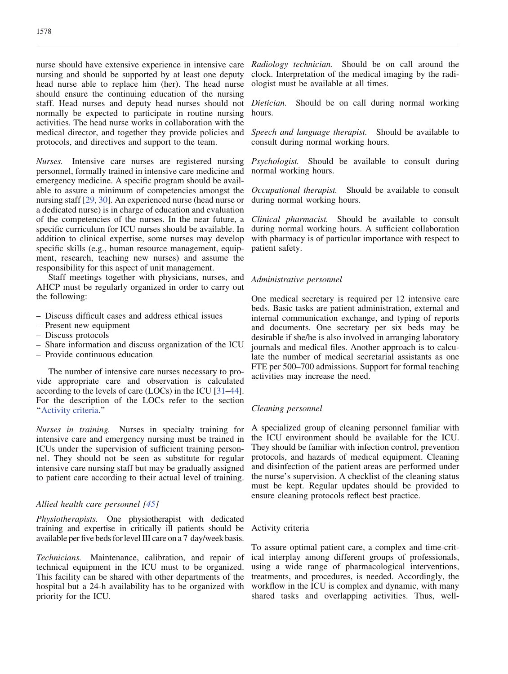<span id="page-3-0"></span>nurse should have extensive experience in intensive care nursing and should be supported by at least one deputy head nurse able to replace him (her). The head nurse should ensure the continuing education of the nursing staff. Head nurses and deputy head nurses should not normally be expected to participate in routine nursing activities. The head nurse works in collaboration with the medical director, and together they provide policies and protocols, and directives and support to the team.

Nurses. Intensive care nurses are registered nursing personnel, formally trained in intensive care medicine and emergency medicine. A specific program should be available to assure a minimum of competencies amongst the nursing staff [\[29,](#page-11-0) [30](#page-11-0)]. An experienced nurse (head nurse or a dedicated nurse) is in charge of education and evaluation of the competencies of the nurses. In the near future, a specific curriculum for ICU nurses should be available. In addition to clinical expertise, some nurses may develop specific skills (e.g., human resource management, equipment, research, teaching new nurses) and assume the responsibility for this aspect of unit management.

Staff meetings together with physicians, nurses, and AHCP must be regularly organized in order to carry out the following:

- Discuss difficult cases and address ethical issues
- Present new equipment
- Discuss protocols
- Share information and discuss organization of the ICU
- Provide continuous education

The number of intensive care nurses necessary to provide appropriate care and observation is calculated according to the levels of care (LOCs) in the ICU [\[31–44](#page-11-0)]. For the description of the LOCs refer to the section ''Activity criteria.''

Nurses in training. Nurses in specialty training for intensive care and emergency nursing must be trained in ICUs under the supervision of sufficient training personnel. They should not be seen as substitute for regular intensive care nursing staff but may be gradually assigned to patient care according to their actual level of training.

#### Allied health care personnel [[45](#page-11-0)]

Physiotherapists. One physiotherapist with dedicated training and expertise in critically ill patients should be available per five beds for level III care on a 7 day/week basis.

Technicians. Maintenance, calibration, and repair of technical equipment in the ICU must to be organized. This facility can be shared with other departments of the hospital but a 24-h availability has to be organized with priority for the ICU.

Radiology technician. Should be on call around the clock. Interpretation of the medical imaging by the radiologist must be available at all times.

Dietician. Should be on call during normal working hours.

Speech and language therapist. Should be available to consult during normal working hours.

Psychologist. Should be available to consult during normal working hours.

Occupational therapist. Should be available to consult during normal working hours.

Clinical pharmacist. Should be available to consult during normal working hours. A sufficient collaboration with pharmacy is of particular importance with respect to patient safety.

## Administrative personnel

One medical secretary is required per 12 intensive care beds. Basic tasks are patient administration, external and internal communication exchange, and typing of reports and documents. One secretary per six beds may be desirable if she/he is also involved in arranging laboratory journals and medical files. Another approach is to calculate the number of medical secretarial assistants as one FTE per 500–700 admissions. Support for formal teaching activities may increase the need.

## Cleaning personnel

A specialized group of cleaning personnel familiar with the ICU environment should be available for the ICU. They should be familiar with infection control, prevention protocols, and hazards of medical equipment. Cleaning and disinfection of the patient areas are performed under the nurse's supervision. A checklist of the cleaning status must be kept. Regular updates should be provided to ensure cleaning protocols reflect best practice.

## Activity criteria

To assure optimal patient care, a complex and time-critical interplay among different groups of professionals, using a wide range of pharmacological interventions, treatments, and procedures, is needed. Accordingly, the workflow in the ICU is complex and dynamic, with many shared tasks and overlapping activities. Thus, well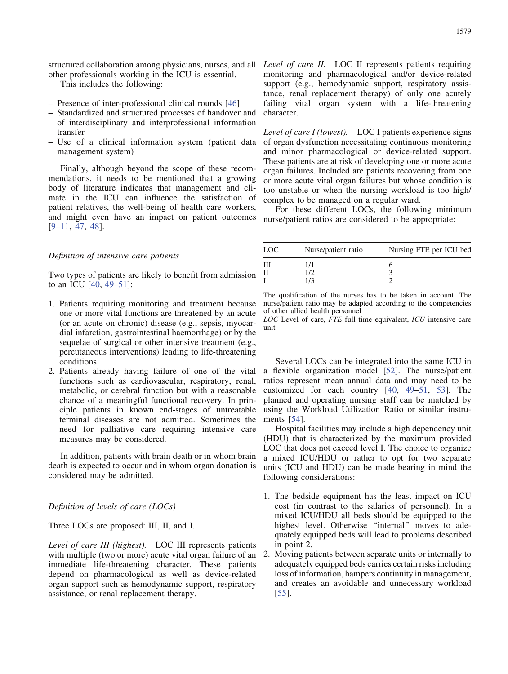other professionals working in the ICU is essential.

This includes the following:

- Presence of inter-professional clinical rounds [\[46\]](#page-11-0)
- Standardized and structured processes of handover and of interdisciplinary and interprofessional information transfer
- Use of a clinical information system (patient data management system)

Finally, although beyond the scope of these recommendations, it needs to be mentioned that a growing body of literature indicates that management and climate in the ICU can influence the satisfaction of patient relatives, the well-being of health care workers, and might even have an impact on patient outcomes [\[9](#page-10-0)–[11](#page-10-0), [47,](#page-11-0) [48](#page-11-0)].

#### Definition of intensive care patients

Two types of patients are likely to benefit from admission to an ICU  $[40, 49-51]$  $[40, 49-51]$  $[40, 49-51]$ :

- 1. Patients requiring monitoring and treatment because one or more vital functions are threatened by an acute (or an acute on chronic) disease (e.g., sepsis, myocardial infarction, gastrointestinal haemorrhage) or by the sequelae of surgical or other intensive treatment (e.g., percutaneous interventions) leading to life-threatening conditions.
- 2. Patients already having failure of one of the vital functions such as cardiovascular, respiratory, renal, metabolic, or cerebral function but with a reasonable chance of a meaningful functional recovery. In principle patients in known end-stages of untreatable terminal diseases are not admitted. Sometimes the need for palliative care requiring intensive care measures may be considered.

In addition, patients with brain death or in whom brain death is expected to occur and in whom organ donation is considered may be admitted.

#### Definition of levels of care (LOCs)

Three LOCs are proposed: III, II, and I.

Level of care III (highest). LOC III represents patients with multiple (two or more) acute vital organ failure of an immediate life-threatening character. These patients depend on pharmacological as well as device-related organ support such as hemodynamic support, respiratory assistance, or renal replacement therapy.

structured collaboration among physicians, nurses, and all Level of care II. LOC II represents patients requiring monitoring and pharmacological and/or device-related support (e.g., hemodynamic support, respiratory assistance, renal replacement therapy) of only one acutely failing vital organ system with a life-threatening character.

> Level of care I (lowest). LOC I patients experience signs of organ dysfunction necessitating continuous monitoring and minor pharmacological or device-related support. These patients are at risk of developing one or more acute organ failures. Included are patients recovering from one or more acute vital organ failures but whose condition is too unstable or when the nursing workload is too high/ complex to be managed on a regular ward.

> For these different LOCs, the following minimum nurse/patient ratios are considered to be appropriate:

| LOC | Nurse/patient ratio | Nursing FTE per ICU bed |
|-----|---------------------|-------------------------|
| Ш   | 1/1                 |                         |
| П   | 1/2                 |                         |
|     | 1/3                 |                         |

The qualification of the nurses has to be taken in account. The nurse/patient ratio may be adapted according to the competencies of other allied health personnel

LOC Level of care, FTE full time equivalent, ICU intensive care unit

Several LOCs can be integrated into the same ICU in a flexible organization model [[52](#page-11-0)]. The nurse/patient ratios represent mean annual data and may need to be customized for each country [[40](#page-11-0), [49–51,](#page-11-0) [53\]](#page-11-0). The planned and operating nursing staff can be matched by using the Workload Utilization Ratio or similar instru-ments [[54](#page-11-0)].

Hospital facilities may include a high dependency unit (HDU) that is characterized by the maximum provided LOC that does not exceed level I. The choice to organize a mixed ICU/HDU or rather to opt for two separate units (ICU and HDU) can be made bearing in mind the following considerations:

- 1. The bedside equipment has the least impact on ICU cost (in contrast to the salaries of personnel). In a mixed ICU/HDU all beds should be equipped to the highest level. Otherwise "internal" moves to adequately equipped beds will lead to problems described in point 2.
- 2. Moving patients between separate units or internally to adequately equipped beds carries certain risks including loss of information, hampers continuity in management, and creates an avoidable and unnecessary workload  $[55]$  $[55]$ .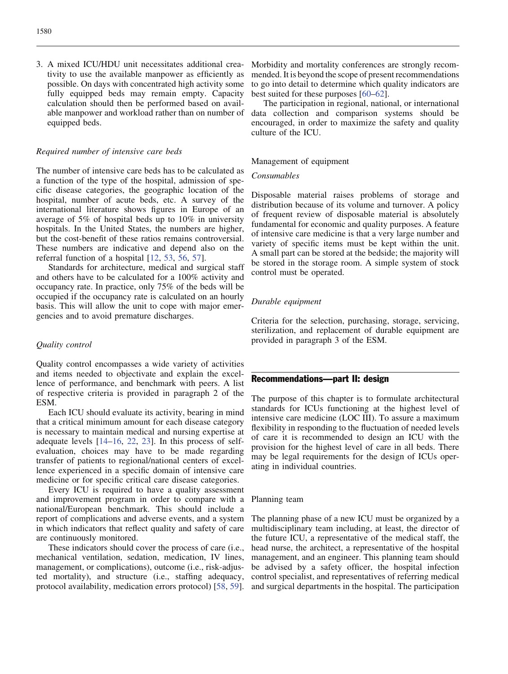3. A mixed ICU/HDU unit necessitates additional creativity to use the available manpower as efficiently as possible. On days with concentrated high activity some fully equipped beds may remain empty. Capacity calculation should then be performed based on availequipped beds.

## Required number of intensive care beds

The number of intensive care beds has to be calculated as a function of the type of the hospital, admission of specific disease categories, the geographic location of the hospital, number of acute beds, etc. A survey of the international literature shows figures in Europe of an average of 5% of hospital beds up to 10% in university hospitals. In the United States, the numbers are higher, but the cost-benefit of these ratios remains controversial. These numbers are indicative and depend also on the referral function of a hospital [[12](#page-10-0), [53,](#page-11-0) [56](#page-11-0), [57\]](#page-11-0).

Standards for architecture, medical and surgical staff and others have to be calculated for a 100% activity and occupancy rate. In practice, only 75% of the beds will be occupied if the occupancy rate is calculated on an hourly basis. This will allow the unit to cope with major emergencies and to avoid premature discharges.

## Quality control

Quality control encompasses a wide variety of activities and items needed to objectivate and explain the excellence of performance, and benchmark with peers. A list of respective criteria is provided in paragraph 2 of the ESM.

Each ICU should evaluate its activity, bearing in mind that a critical minimum amount for each disease category is necessary to maintain medical and nursing expertise at adequate levels  $[14–16, 22, 23]$  $[14–16, 22, 23]$  $[14–16, 22, 23]$  $[14–16, 22, 23]$  $[14–16, 22, 23]$ . In this process of selfevaluation, choices may have to be made regarding transfer of patients to regional/national centers of excellence experienced in a specific domain of intensive care medicine or for specific critical care disease categories.

Every ICU is required to have a quality assessment and improvement program in order to compare with a national/European benchmark. This should include a report of complications and adverse events, and a system in which indicators that reflect quality and safety of care are continuously monitored.

These indicators should cover the process of care (i.e., mechanical ventilation, sedation, medication, IV lines, management, or complications), outcome (i.e., risk-adjusted mortality), and structure (i.e., staffing adequacy, protocol availability, medication errors protocol) [[58](#page-11-0), [59](#page-12-0)]. and surgical departments in the hospital. The participation

Morbidity and mortality conferences are strongly recommended. It is beyond the scope of present recommendations to go into detail to determine which quality indicators are best suited for these purposes [[60–62\]](#page-12-0).

able manpower and workload rather than on number of data collection and comparison systems should be The participation in regional, national, or international encouraged, in order to maximize the safety and quality culture of the ICU.

#### Management of equipment

## Consumables

Disposable material raises problems of storage and distribution because of its volume and turnover. A policy of frequent review of disposable material is absolutely fundamental for economic and quality purposes. A feature of intensive care medicine is that a very large number and variety of specific items must be kept within the unit. A small part can be stored at the bedside; the majority will be stored in the storage room. A simple system of stock control must be operated.

## Durable equipment

Criteria for the selection, purchasing, storage, servicing, sterilization, and replacement of durable equipment are provided in paragraph 3 of the ESM.

## Recommendations—part II: design

The purpose of this chapter is to formulate architectural standards for ICUs functioning at the highest level of intensive care medicine (LOC III). To assure a maximum flexibility in responding to the fluctuation of needed levels of care it is recommended to design an ICU with the provision for the highest level of care in all beds. There may be legal requirements for the design of ICUs operating in individual countries.

#### Planning team

The planning phase of a new ICU must be organized by a multidisciplinary team including, at least, the director of the future ICU, a representative of the medical staff, the head nurse, the architect, a representative of the hospital management, and an engineer. This planning team should be advised by a safety officer, the hospital infection control specialist, and representatives of referring medical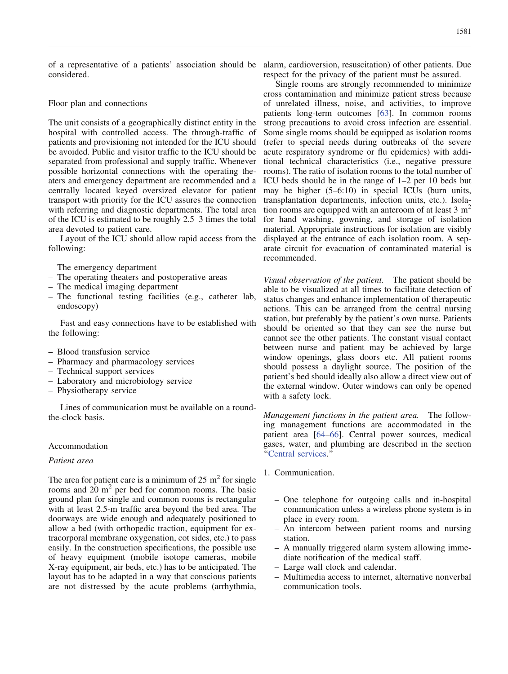of a representative of a patients' association should be considered.

## Floor plan and connections

The unit consists of a geographically distinct entity in the hospital with controlled access. The through-traffic of patients and provisioning not intended for the ICU should be avoided. Public and visitor traffic to the ICU should be separated from professional and supply traffic. Whenever possible horizontal connections with the operating theaters and emergency department are recommended and a centrally located keyed oversized elevator for patient transport with priority for the ICU assures the connection with referring and diagnostic departments. The total area of the ICU is estimated to be roughly 2.5–3 times the total area devoted to patient care.

Layout of the ICU should allow rapid access from the following:

- The emergency department
- The operating theaters and postoperative areas
- The medical imaging department
- The functional testing facilities (e.g., catheter lab, endoscopy)

Fast and easy connections have to be established with the following:

- Blood transfusion service
- Pharmacy and pharmacology services
- Technical support services
- Laboratory and microbiology service
- Physiotherapy service

Lines of communication must be available on a roundthe-clock basis.

#### Accommodation

## Patient area

The area for patient care is a minimum of  $25 \text{ m}^2$  for single rooms and  $20 \text{ m}^2$  per bed for common rooms. The basic ground plan for single and common rooms is rectangular with at least 2.5-m traffic area beyond the bed area. The doorways are wide enough and adequately positioned to allow a bed (with orthopedic traction, equipment for extracorporal membrane oxygenation, cot sides, etc.) to pass easily. In the construction specifications, the possible use of heavy equipment (mobile isotope cameras, mobile X-ray equipment, air beds, etc.) has to be anticipated. The layout has to be adapted in a way that conscious patients are not distressed by the acute problems (arrhythmia,

alarm, cardioversion, resuscitation) of other patients. Due respect for the privacy of the patient must be assured.

Single rooms are strongly recommended to minimize cross contamination and minimize patient stress because of unrelated illness, noise, and activities, to improve patients long-term outcomes [[63](#page-12-0)]. In common rooms strong precautions to avoid cross infection are essential. Some single rooms should be equipped as isolation rooms (refer to special needs during outbreaks of the severe acute respiratory syndrome or flu epidemics) with additional technical characteristics (i.e., negative pressure rooms). The ratio of isolation rooms to the total number of ICU beds should be in the range of 1–2 per 10 beds but may be higher (5–6:10) in special ICUs (burn units, transplantation departments, infection units, etc.). Isolation rooms are equipped with an anteroom of at least  $3 \text{ m}^2$ for hand washing, gowning, and storage of isolation material. Appropriate instructions for isolation are visibly displayed at the entrance of each isolation room. A separate circuit for evacuation of contaminated material is recommended.

Visual observation of the patient. The patient should be able to be visualized at all times to facilitate detection of status changes and enhance implementation of therapeutic actions. This can be arranged from the central nursing station, but preferably by the patient's own nurse. Patients should be oriented so that they can see the nurse but cannot see the other patients. The constant visual contact between nurse and patient may be achieved by large window openings, glass doors etc. All patient rooms should possess a daylight source. The position of the patient's bed should ideally also allow a direct view out of the external window. Outer windows can only be opened with a safety lock.

Management functions in the patient area. The following management functions are accommodated in the patient area [\[64–66](#page-12-0)]. Central power sources, medical gases, water, and plumbing are described in the section ''[Central services.](#page-9-0)''

- 1. Communication.
	- One telephone for outgoing calls and in-hospital communication unless a wireless phone system is in place in every room.
	- An intercom between patient rooms and nursing station.
	- A manually triggered alarm system allowing immediate notification of the medical staff.
	- Large wall clock and calendar.
	- Multimedia access to internet, alternative nonverbal communication tools.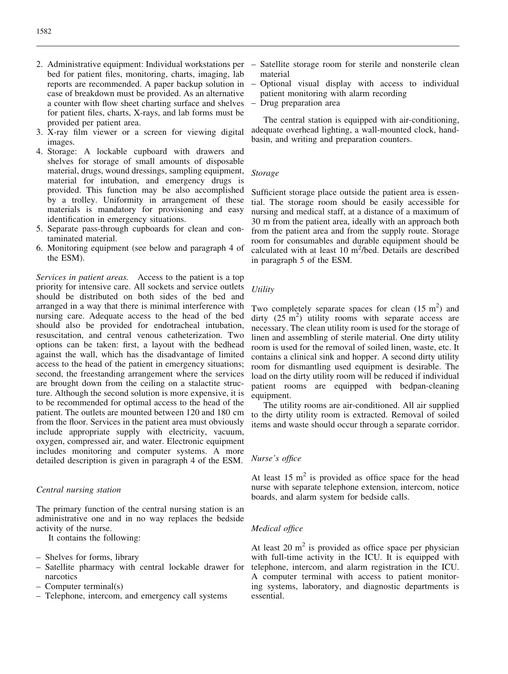- bed for patient files, monitoring, charts, imaging, lab reports are recommended. A paper backup solution in case of breakdown must be provided. As an alternative a counter with flow sheet charting surface and shelves for patient files, charts, X-rays, and lab forms must be provided per patient area.
- 3. X-ray film viewer or a screen for viewing digital images.
- 4. Storage: A lockable cupboard with drawers and shelves for storage of small amounts of disposable material, drugs, wound dressings, sampling equipment, material for intubation, and emergency drugs is provided. This function may be also accomplished by a trolley. Uniformity in arrangement of these materials is mandatory for provisioning and easy identification in emergency situations.
- 5. Separate pass-through cupboards for clean and contaminated material.
- 6. Monitoring equipment (see below and paragraph 4 of the ESM).

Services in patient areas. Access to the patient is a top priority for intensive care. All sockets and service outlets should be distributed on both sides of the bed and arranged in a way that there is minimal interference with nursing care. Adequate access to the head of the bed should also be provided for endotracheal intubation, resuscitation, and central venous catheterization. Two options can be taken: first, a layout with the bedhead against the wall, which has the disadvantage of limited access to the head of the patient in emergency situations; second, the freestanding arrangement where the services are brought down from the ceiling on a stalactite structure. Although the second solution is more expensive, it is to be recommended for optimal access to the head of the patient. The outlets are mounted between 120 and 180 cm from the floor. Services in the patient area must obviously include appropriate supply with electricity, vacuum, oxygen, compressed air, and water. Electronic equipment includes monitoring and computer systems. A more detailed description is given in paragraph 4 of the ESM.

## Central nursing station

The primary function of the central nursing station is an administrative one and in no way replaces the bedside activity of the nurse.

It contains the following:

- Shelves for forms, library
- Satellite pharmacy with central lockable drawer for narcotics
- Computer terminal(s)
- Telephone, intercom, and emergency call systems
- 2. Administrative equipment: Individual workstations per Satellite storage room for sterile and nonsterile clean material
	- Optional visual display with access to individual patient monitoring with alarm recording
	- Drug preparation area

The central station is equipped with air-conditioning, adequate overhead lighting, a wall-mounted clock, handbasin, and writing and preparation counters.

## Storage

Sufficient storage place outside the patient area is essential. The storage room should be easily accessible for nursing and medical staff, at a distance of a maximum of 30 m from the patient area, ideally with an approach both from the patient area and from the supply route. Storage room for consumables and durable equipment should be calculated with at least 10  $m^2$ /bed. Details are described in paragraph 5 of the ESM.

## **Utility**

Two completely separate spaces for clean  $(15 \text{ m}^2)$  and dirty  $(25 \text{ m}^2)$  utility rooms with separate access are necessary. The clean utility room is used for the storage of linen and assembling of sterile material. One dirty utility room is used for the removal of soiled linen, waste, etc. It contains a clinical sink and hopper. A second dirty utility room for dismantling used equipment is desirable. The load on the dirty utility room will be reduced if individual patient rooms are equipped with bedpan-cleaning equipment.

The utility rooms are air-conditioned. All air supplied to the dirty utility room is extracted. Removal of soiled items and waste should occur through a separate corridor.

#### Nurse's office

At least 15  $m<sup>2</sup>$  is provided as office space for the head nurse with separate telephone extension, intercom, notice boards, and alarm system for bedside calls.

#### Medical office

At least 20  $m<sup>2</sup>$  is provided as office space per physician with full-time activity in the ICU. It is equipped with telephone, intercom, and alarm registration in the ICU. A computer terminal with access to patient monitoring systems, laboratory, and diagnostic departments is essential.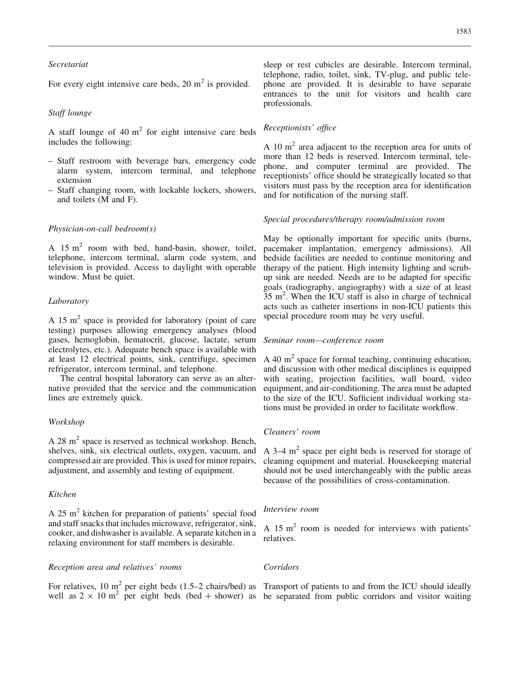## Secretariat

For every eight intensive care beds,  $20 \text{ m}^2$  is provided.

## Staff lounge

A staff lounge of  $40 \text{ m}^2$  for eight intensive care beds includes the following:

- Staff restroom with beverage bars, emergency code alarm system, intercom terminal, and telephone extension
- Staff changing room, with lockable lockers, showers, and toilets (M and F).

## Physician-on-call bedroom(s)

A  $15 \text{ m}^2$  room with bed, hand-basin, shower, toilet, telephone, intercom terminal, alarm code system, and television is provided. Access to daylight with operable window. Must be quiet.

# Laboratory

A 15  $m<sup>2</sup>$  space is provided for laboratory (point of care testing) purposes allowing emergency analyses (blood gases, hemoglobin, hematocrit, glucose, lactate, serum electrolytes, etc.). Adequate bench space is available with at least 12 electrical points, sink, centrifuge, specimen refrigerator, intercom terminal, and telephone.

The central hospital laboratory can serve as an alternative provided that the service and the communication lines are extremely quick.

#### Workshop

A 28 m<sup>2</sup> space is reserved as technical workshop. Bench, shelves, sink, six electrical outlets, oxygen, vacuum, and compressed air are provided. This is used for minor repairs, adjustment, and assembly and testing of equipment.

## Kitchen

A 25 m<sup>2</sup> kitchen for preparation of patients' special food and staff snacks that includes microwave, refrigerator, sink, cooker, and dishwasher is available. A separate kitchen in a relaxing environment for staff members is desirable.

# Reception area and relatives' rooms

For relatives, 10  $m^2$  per eight beds (1.5–2 chairs/bed) as Transport of patients to and from the ICU should ideally

sleep or rest cubicles are desirable. Intercom terminal, telephone, radio, toilet, sink, TV-plug, and public telephone are provided. It is desirable to have separate entrances to the unit for visitors and health care professionals.

#### Receptionists' office

A 10  $m<sup>2</sup>$  area adjacent to the reception area for units of more than 12 beds is reserved. Intercom terminal, telephone, and computer terminal are provided. The receptionists' office should be strategically located so that visitors must pass by the reception area for identification and for notification of the nursing staff.

## Special procedures/therapy room/admission room

May be optionally important for specific units (burns, pacemaker implantation, emergency admissions). All bedside facilities are needed to continue monitoring and therapy of the patient. High intensity lighting and scrubup sink are needed. Needs are to be adapted for specific goals (radiography, angiography) with a size of at least 35 m2 . When the ICU staff is also in charge of technical acts such as catheter insertions in non-ICU patients this special procedure room may be very useful.

#### Seminar room—conference room

A 40  $m<sup>2</sup>$  space for formal teaching, continuing education, and discussion with other medical disciplines is equipped with seating, projection facilities, wall board, video equipment, and air-conditioning. The area must be adapted to the size of the ICU. Sufficient individual working stations must be provided in order to facilitate workflow.

## Cleaners' room

A 3–4  $m<sup>2</sup>$  space per eight beds is reserved for storage of cleaning equipment and material. Housekeeping material should not be used interchangeably with the public areas because of the possibilities of cross-contamination.

#### Interview room

A 15 m<sup>2</sup> room is needed for interviews with patients' relatives.

# **Corridors**

well as  $2 \times 10$  m<sup>2</sup> per eight beds (bed + shower) as be separated from public corridors and visitor waiting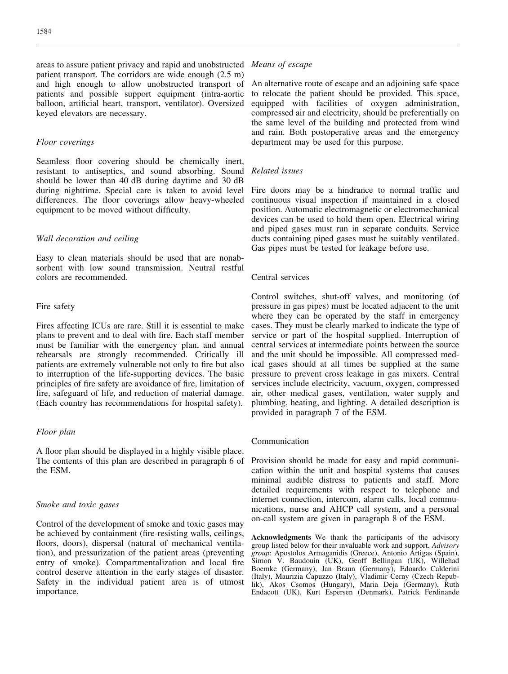<span id="page-9-0"></span>areas to assure patient privacy and rapid and unobstructed patient transport. The corridors are wide enough (2.5 m) and high enough to allow unobstructed transport of patients and possible support equipment (intra-aortic balloon, artificial heart, transport, ventilator). Oversized keyed elevators are necessary.

#### Floor coverings

Seamless floor covering should be chemically inert, resistant to antiseptics, and sound absorbing. Sound should be lower than 40 dB during daytime and 30 dB during nighttime. Special care is taken to avoid level differences. The floor coverings allow heavy-wheeled equipment to be moved without difficulty.

## Wall decoration and ceiling

Easy to clean materials should be used that are nonabsorbent with low sound transmission. Neutral restful colors are recommended.

## Fire safety

Fires affecting ICUs are rare. Still it is essential to make plans to prevent and to deal with fire. Each staff member must be familiar with the emergency plan, and annual rehearsals are strongly recommended. Critically ill patients are extremely vulnerable not only to fire but also to interruption of the life-supporting devices. The basic principles of fire safety are avoidance of fire, limitation of fire, safeguard of life, and reduction of material damage. (Each country has recommendations for hospital safety).

## Floor plan

A floor plan should be displayed in a highly visible place. The contents of this plan are described in paragraph 6 of the ESM.

#### Smoke and toxic gases

Control of the development of smoke and toxic gases may be achieved by containment (fire-resisting walls, ceilings, floors, doors), dispersal (natural of mechanical ventilation), and pressurization of the patient areas (preventing entry of smoke). Compartmentalization and local fire control deserve attention in the early stages of disaster. Safety in the individual patient area is of utmost importance.

#### Means of escape

An alternative route of escape and an adjoining safe space to relocate the patient should be provided. This space, equipped with facilities of oxygen administration, compressed air and electricity, should be preferentially on the same level of the building and protected from wind and rain. Both postoperative areas and the emergency department may be used for this purpose.

## Related issues

Fire doors may be a hindrance to normal traffic and continuous visual inspection if maintained in a closed position. Automatic electromagnetic or electromechanical devices can be used to hold them open. Electrical wiring and piped gases must run in separate conduits. Service ducts containing piped gases must be suitably ventilated. Gas pipes must be tested for leakage before use.

#### Central services

Control switches, shut-off valves, and monitoring (of pressure in gas pipes) must be located adjacent to the unit where they can be operated by the staff in emergency cases. They must be clearly marked to indicate the type of service or part of the hospital supplied. Interruption of central services at intermediate points between the source and the unit should be impossible. All compressed medical gases should at all times be supplied at the same pressure to prevent cross leakage in gas mixers. Central services include electricity, vacuum, oxygen, compressed air, other medical gases, ventilation, water supply and plumbing, heating, and lighting. A detailed description is provided in paragraph 7 of the ESM.

## Communication

Provision should be made for easy and rapid communication within the unit and hospital systems that causes minimal audible distress to patients and staff. More detailed requirements with respect to telephone and internet connection, intercom, alarm calls, local communications, nurse and AHCP call system, and a personal on-call system are given in paragraph 8 of the ESM.

Acknowledgments We thank the participants of the advisory group listed below for their invaluable work and support. Advisory group: Apostolos Armaganidis (Greece), Antonio Artigas (Spain), Simon V. Baudouin (UK), Geoff Bellingan (UK), Willehad Boemke (Germany), Jan Braun (Germany), Edoardo Calderini (Italy), Maurizia Capuzzo (Italy), Vladimir Cerny (Czech Republik), Akos Csomos (Hungary), Maria Deja (Germany), Ruth Endacott (UK), Kurt Espersen (Denmark), Patrick Ferdinande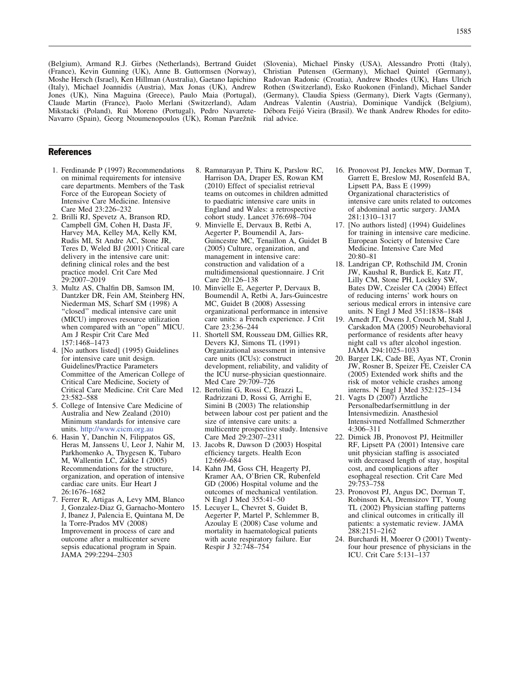<span id="page-10-0"></span>(Belgium), Armand R.J. Girbes (Netherlands), Bertrand Guidet (France), Kevin Gunning (UK), Anne B. Guttormsen (Norway), Moshe Hersch (Israel), Ken Hillman (Australia), Gaetano Iapichino (Italy), Michael Joannidis (Austria), Max Jonas (UK), Andrew Jones (UK), Nina Maguina (Greece), Paulo Maia (Portugal), Claude Martin (France), Paolo Merlani (Switzerland), Adam Mikstacki (Poland), Rui Moreno (Portugal), Pedro Navarrete-Navarro (Spain), Georg Ntoumenopoulos (UK), Roman Parežnik

(Slovenia), Michael Pinsky (USA), Alessandro Protti (Italy), Christian Putensen (Germany), Michael Quintel (Germany), Radovan Radonic (Croatia), Andrew Rhodes (UK), Hans Ulrich Rothen (Switzerland), Esko Ruokonen (Finland), Michael Sander (Germany), Claudia Spiess (Germany), Dierk Vagts (Germany), Andreas Valentin (Austria), Dominique Vandijck (Belgium), Débora Feijó Vieira (Brasil). We thank Andrew Rhodes for editorial advice.

# References

- 1. Ferdinande P (1997) Recommendations on minimal requirements for intensive care departments. Members of the Task Force of the European Society of Intensive Care Medicine. Intensive Care Med 23:226–232
- 2. Brilli RJ, Spevetz A, Branson RD, Campbell GM, Cohen H, Dasta JF, Harvey MA, Kelley MA, Kelly KM, Rudis MI, St Andre AC, Stone JR, Teres D, Weled BJ (2001) Critical care delivery in the intensive care unit: defining clinical roles and the best practice model. Crit Care Med 29:2007–2019
- 3. Multz AS, Chalfin DB, Samson IM, Dantzker DR, Fein AM, Steinberg HN, Niederman MS, Scharf SM (1998) A ''closed'' medical intensive care unit (MICU) improves resource utilization when compared with an "open" MICU. Am J Respir Crit Care Med 157:1468–1473
- 4. [No authors listed] (1995) Guidelines for intensive care unit design. Guidelines/Practice Parameters Committee of the American College of Critical Care Medicine, Society of Critical Care Medicine. Crit Care Med 23:582–588
- 5. College of Intensive Care Medicine of Australia and New Zealand (2010) Minimum standards for intensive care units. <http://www.cicm.org.au>
- 6. Hasin Y, Danchin N, Filippatos GS, Heras M, Janssens U, Leor J, Nahir M, Parkhomenko A, Thygesen K, Tubaro M, Wallentin LC, Zakke I (2005) Recommendations for the structure, organization, and operation of intensive cardiac care units. Eur Heart J 26:1676–1682
- 7. Ferrer R, Artigas A, Levy MM, Blanco J, Gonzalez-Diaz G, Garnacho-Montero J, Ibanez J, Palencia E, Quintana M, De la Torre-Prados MV (2008) Improvement in process of care and outcome after a multicenter severe sepsis educational program in Spain. JAMA 299:2294–2303
- 8. Ramnarayan P, Thiru K, Parslow RC, Harrison DA, Draper ES, Rowan KM (2010) Effect of specialist retrieval teams on outcomes in children admitted to paediatric intensive care units in England and Wales: a retrospective cohort study. Lancet 376:698–704
- 9. Minvielle E, Dervaux B, Retbi A, Aegerter P, Boumendil A, Jars-Guincestre MC, Tenaillon A, Guidet B (2005) Culture, organization, and management in intensive care: construction and validation of a multidimensional questionnaire. J Crit Care 20:126–138
- 10. Minvielle E, Aegerter P, Dervaux B, Boumendil A, Retbi A, Jars-Guincestre MC, Guidet B (2008) Assessing organizational performance in intensive care units: a French experience. J Crit Care 23:236–244
- 11. Shortell SM, Rousseau DM, Gillies RR, Devers KJ, Simons TL (1991) Organizational assessment in intensive care units (ICUs): construct development, reliability, and validity of the ICU nurse-physician questionnaire. Med Care 29:709–726
- 12. Bertolini G, Rossi C, Brazzi L, Radrizzani D, Rossi G, Arrighi E, Simini B (2003) The relationship between labour cost per patient and the size of intensive care units: a multicentre prospective study. Intensive Care Med 29:2307–2311
- 13. Jacobs R, Dawson D (2003) Hospital efficiency targets. Health Econ 12:669–684
- 14. Kahn JM, Goss CH, Heagerty PJ, Kramer AA, O'Brien CR, Rubenfeld GD (2006) Hospital volume and the outcomes of mechanical ventilation. N Engl J Med 355:41–50
- 15. Lecuyer L, Chevret S, Guidet B, Aegerter P, Martel P, Schlemmer B, Azoulay E (2008) Case volume and mortality in haematological patients with acute respiratory failure. Eur Respir J 32:748–754
- 16. Pronovost PJ, Jenckes MW, Dorman T, Garrett E, Breslow MJ, Rosenfeld BA, Lipsett PA, Bass E (1999) Organizational characteristics of intensive care units related to outcomes of abdominal aortic surgery. JAMA 281:1310–1317
- 17. [No authors listed] (1994) Guidelines for training in intensive care medicine. European Society of Intensive Care Medicine. Intensive Care Med 20:80–81
- 18. Landrigan CP, Rothschild JM, Cronin JW, Kaushal R, Burdick E, Katz JT, Lilly CM, Stone PH, Lockley SW, Bates DW, Czeisler CA (2004) Effect of reducing interns' work hours on serious medical errors in intensive care units. N Engl J Med 351:1838–1848
- 19. Arnedt JT, Owens J, Crouch M, Stahl J, Carskadon MA (2005) Neurobehavioral performance of residents after heavy night call vs after alcohol ingestion. JAMA 294:1025–1033
- 20. Barger LK, Cade BE, Ayas NT, Cronin JW, Rosner B, Speizer FE, Czeisler CA (2005) Extended work shifts and the risk of motor vehicle crashes among interns. N Engl J Med 352:125–134
- 21. Vagts D (2007) Ärztliche Personalbedarfsermittlung in der Intensivmedizin. Anasthesiol Intensivmed Notfallmed Schmerzther 4:306–311
- 22. Dimick JB, Pronovost PJ, Heitmiller RF, Lipsett PA (2001) Intensive care unit physician staffing is associated with decreased length of stay, hospital cost, and complications after esophageal resection. Crit Care Med 29:753–758
- 23. Pronovost PJ, Angus DC, Dorman T, Robinson KA, Dremsizov TT, Young TL (2002) Physician staffing patterns and clinical outcomes in critically ill patients: a systematic review. JAMA 288:2151–2162
- 24. Burchardi H, Moerer O (2001) Twentyfour hour presence of physicians in the ICU. Crit Care 5:131–137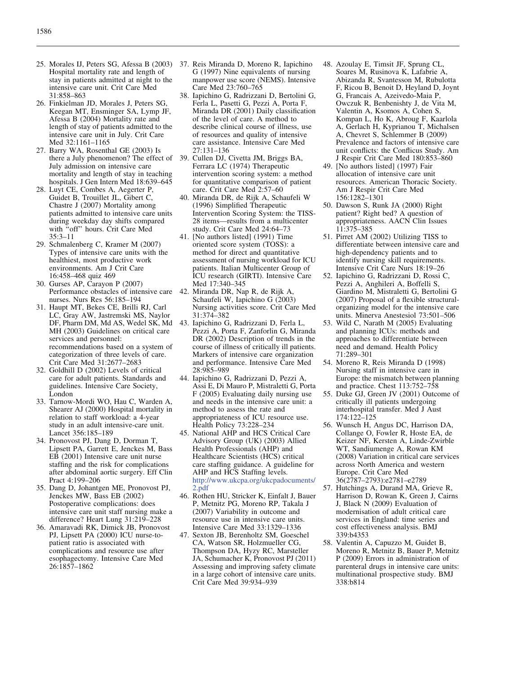- <span id="page-11-0"></span>25. Morales IJ, Peters SG, Afessa B (2003) 37. Reis Miranda D, Moreno R, Iapichino Hospital mortality rate and length of stay in patients admitted at night to the intensive care unit. Crit Care Med 31:858–863
- 26. Finkielman JD, Morales J, Peters SG, Keegan MT, Ensminger SA, Lymp JF, Afessa B (2004) Mortality rate and length of stay of patients admitted to the intensive care unit in July. Crit Care Med 32:1161–1165
- 27. Barry WA, Rosenthal GE (2003) Is there a July phenomenon? The effect of 39. Cullen DJ, Civetta JM, Briggs BA, July admission on intensive care mortality and length of stay in teaching hospitals. J Gen Intern Med 18:639–645
- 28. Luyt CE, Combes A, Aegerter P, Guidet B, Trouillet JL, Gibert C, Chastre J (2007) Mortality among patients admitted to intensive care units during weekday day shifts compared with "off" hours. Crit Care Med 35:3–11
- 29. Schmalenberg C, Kramer M (2007) Types of intensive care units with the healthiest, most productive work environments. Am J Crit Care 16:458–468 quiz 469
- 30. Gurses AP, Carayon P (2007) Performance obstacles of intensive care nurses. Nurs Res 56:185–194
- 31. Haupt MT, Bekes CE, Brilli RJ, Carl LC, Gray AW, Jastremski MS, Naylor DF, Pharm DM, Md AS, Wedel SK, Md MH (2003) Guidelines on critical care services and personnel: recommendations based on a system of categorization of three levels of care. Crit Care Med 31:2677–2683
- 32. Goldhill D (2002) Levels of critical care for adult patients. Standards and guidelines. Intensive Care Society, London
- 33. Tarnow-Mordi WO, Hau C, Warden A, Shearer AJ (2000) Hospital mortality in relation to staff workload: a 4-year study in an adult intensive-care unit. Lancet 356:185–189
- 34. Pronovost PJ, Dang D, Dorman T, Lipsett PA, Garrett E, Jenckes M, Bass EB (2001) Intensive care unit nurse staffing and the risk for complications after abdominal aortic surgery. Eff Clin Pract 4:199–206
- 35. Dang D, Johantgen ME, Pronovost PJ, Jenckes MW, Bass EB (2002) Postoperative complications: does intensive care unit staff nursing make a difference? Heart Lung 31:219–228
- 36. Amaravadi RK, Dimick JB, Pronovost PJ, Lipsett PA (2000) ICU nurse-topatient ratio is associated with complications and resource use after esophagectomy. Intensive Care Med 26:1857–1862
- G (1997) Nine equivalents of nursing manpower use score (NEMS). Intensive Care Med 23:760–765
- 38. Iapichino G, Radrizzani D, Bertolini G, Ferla L, Pasetti G, Pezzi A, Porta F, Miranda DR (2001) Daily classification of the level of care. A method to describe clinical course of illness, use of resources and quality of intensive care assistance. Intensive Care Med 27:131–136
- Ferrara LC (1974) Therapeutic intervention scoring system: a method for quantitative comparison of patient care. Crit Care Med 2:57–60
- 40. Miranda DR, de Rijk A, Schaufeli W (1996) Simplified Therapeutic Intervention Scoring System: the TISS-28 items—results from a multicenter study. Crit Care Med 24:64–73
- 41. [No authors listed] (1991) Time oriented score system (TOSS): a method for direct and quantitative assessment of nursing workload for ICU patients. Italian Multicenter Group of ICU research (GIRTI). Intensive Care Med 17:340–345
- 42. Miranda DR, Nap R, de Rijk A, Schaufeli W, Iapichino G (2003) Nursing activities score. Crit Care Med 31:374–382
- 43. Iapichino G, Radrizzani D, Ferla L, Pezzi A, Porta F, Zanforlin G, Miranda DR (2002) Description of trends in the course of illness of critically ill patients. Markers of intensive care organization and performance. Intensive Care Med 28:985–989
- 44. Iapichino G, Radrizzani D, Pezzi A, Assi E, Di Mauro P, Mistraletti G, Porta F (2005) Evaluating daily nursing use and needs in the intensive care unit: a method to assess the rate and appropriateness of ICU resource use. Health Policy 73:228–234
- 45. National AHP and HCS Critical Care Advisory Group (UK) (2003) Allied Health Professionals (AHP) and Healthcare Scientists (HCS) critical care staffing guidance. A guideline for AHP and HCS Staffing levels. [http://www.ukcpa.org/ukcpadocuments/](http://www.ukcpa.org/ukcpadocuments/2.pdf) [2.pdf](http://www.ukcpa.org/ukcpadocuments/2.pdf)
- 46. Rothen HU, Stricker K, Einfalt J, Bauer P, Metnitz PG, Moreno RP, Takala J (2007) Variability in outcome and resource use in intensive care units. Intensive Care Med 33:1329–1336
- 47. Sexton JB, Berenholtz SM, Goeschel CA, Watson SR, Holzmueller CG, Thompson DA, Hyzy RC, Marsteller JA, Schumacher K, Pronovost PJ (2011) Assessing and improving safety climate in a large cohort of intensive care units. Crit Care Med 39:934–939
- 48. Azoulay E, Timsit JF, Sprung CL, Soares M, Rusinova K, Lafabrie A, Abizanda R, Svantesson M, Rubulotta F, Ricou B, Benoit D, Heyland D, Joynt G, Francais A, Azeivedo-Maia P, Owczuk R, Benbenishty J, de Vita M, Valentin A, Ksomos A, Cohen S, Kompan L, Ho K, Abroug F, Kaarlola A, Gerlach H, Kyprianou T, Michalsen A, Chevret S, Schlemmer B (2009) Prevalence and factors of intensive care unit conflicts: the Conflicus Study. Am J Respir Crit Care Med 180:853–860
- 49. [No authors listed] (1997) Fair allocation of intensive care unit resources. American Thoracic Society. Am J Respir Crit Care Med 156:1282–1301
- 50. Dawson S, Runk JA (2000) Right patient? Right bed? A question of appropriateness. AACN Clin Issues 11:375–385
- 51. Pirret AM (2002) Utilizing TISS to differentiate between intensive care and high-dependency patients and to identify nursing skill requirements. Intensive Crit Care Nurs 18:19–26
- 52. Iapichino G, Radrizzani D, Rossi C, Pezzi A, Anghileri A, Boffelli S, Giardino M, Mistraletti G, Bertolini G (2007) Proposal of a flexible structuralorganizing model for the intensive care units. Minerva Anestesiol 73:501–506
- 53. Wild C, Narath M (2005) Evaluating and planning ICUs: methods and approaches to differentiate between need and demand. Health Policy 71:289–301
- 54. Moreno R, Reis Miranda D (1998) Nursing staff in intensive care in Europe: the mismatch between planning and practice. Chest 113:752–758
- 55. Duke GJ, Green JV (2001) Outcome of critically ill patients undergoing interhospital transfer. Med J Aust 174:122–125
- 56. Wunsch H, Angus DC, Harrison DA, Collange O, Fowler R, Hoste EA, de Keizer NF, Kersten A, Linde-Zwirble WT, Sandiumenge A, Rowan KM (2008) Variation in critical care services across North America and western Europe. Crit Care Med 36(2787–2793):e2781–e2789
- 57. Hutchings A, Durand MA, Grieve R, Harrison D, Rowan K, Green J, Cairns J, Black N (2009) Evaluation of modernisation of adult critical care services in England: time series and cost effectiveness analysis. BMJ 339:b4353
- 58. Valentin A, Capuzzo M, Guidet B, Moreno R, Metnitz B, Bauer P, Metnitz P (2009) Errors in administration of parenteral drugs in intensive care units: multinational prospective study. BMJ 338:b814